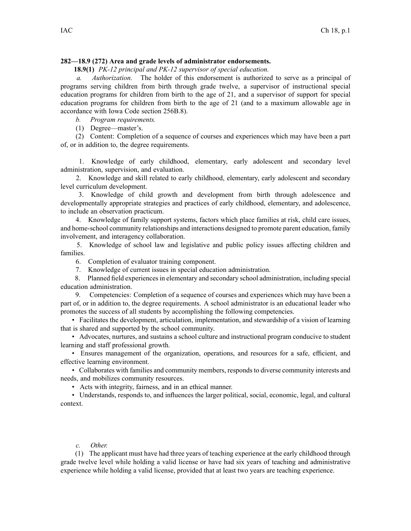## **282—18.9 (272) Area and grade levels of administrator endorsements.**

**18.9(1)** *PK-12 principal and PK-12 supervisor of special education.*

*a. Authorization.* The holder of this endorsement is authorized to serve as <sup>a</sup> principal of programs serving children from birth through grade twelve, <sup>a</sup> supervisor of instructional special education programs for children from birth to the age of 21, and <sup>a</sup> supervisor of suppor<sup>t</sup> for special education programs for children from birth to the age of 21 (and to <sup>a</sup> maximum allowable age in accordance with Iowa Code section [256B.8](https://www.legis.iowa.gov/docs/ico/section/256B.8.pdf)).

*b. Program requirements.*

(1) Degree—master's.

(2) Content: Completion of <sup>a</sup> sequence of courses and experiences which may have been <sup>a</sup> par<sup>t</sup> of, or in addition to, the degree requirements.

1. Knowledge of early childhood, elementary, early adolescent and secondary level administration, supervision, and evaluation.

2. Knowledge and skill related to early childhood, elementary, early adolescent and secondary level curriculum development.

3. Knowledge of child growth and development from birth through adolescence and developmentally appropriate strategies and practices of early childhood, elementary, and adolescence, to include an observation practicum.

4. Knowledge of family suppor<sup>t</sup> systems, factors which place families at risk, child care issues, and home-school community relationships and interactions designed to promote paren<sup>t</sup> education, family involvement, and interagency collaboration.

5. Knowledge of school law and legislative and public policy issues affecting children and families.

6. Completion of evaluator training component.

7. Knowledge of current issues in special education administration.

8. Planned field experiencesin elementary and secondary school administration, including special education administration.

9. Competencies: Completion of <sup>a</sup> sequence of courses and experiences which may have been <sup>a</sup> par<sup>t</sup> of, or in addition to, the degree requirements. A school administrator is an educational leader who promotes the success of all students by accomplishing the following competencies.

• Facilitates the development, articulation, implementation, and stewardship of a vision of learning that is shared and supported by the school community.

• Advocates, nurtures, and sustains <sup>a</sup> school culture and instructional program conducive to student learning and staff professional growth.

• Ensures managemen<sup>t</sup> of the organization, operations, and resources for <sup>a</sup> safe, efficient, and effective learning environment.

• Collaborates with families and community members, responds to diverse community interests and needs, and mobilizes community resources.

• Acts with integrity, fairness, and in an ethical manner.

• Understands, responds to, and influences the larger political, social, economic, legal, and cultural context.

## *c. Other.*

(1) The applicant must have had three years of teaching experience at the early childhood through grade twelve level while holding <sup>a</sup> valid license or have had six years of teaching and administrative experience while holding <sup>a</sup> valid license, provided that at least two years are teaching experience.